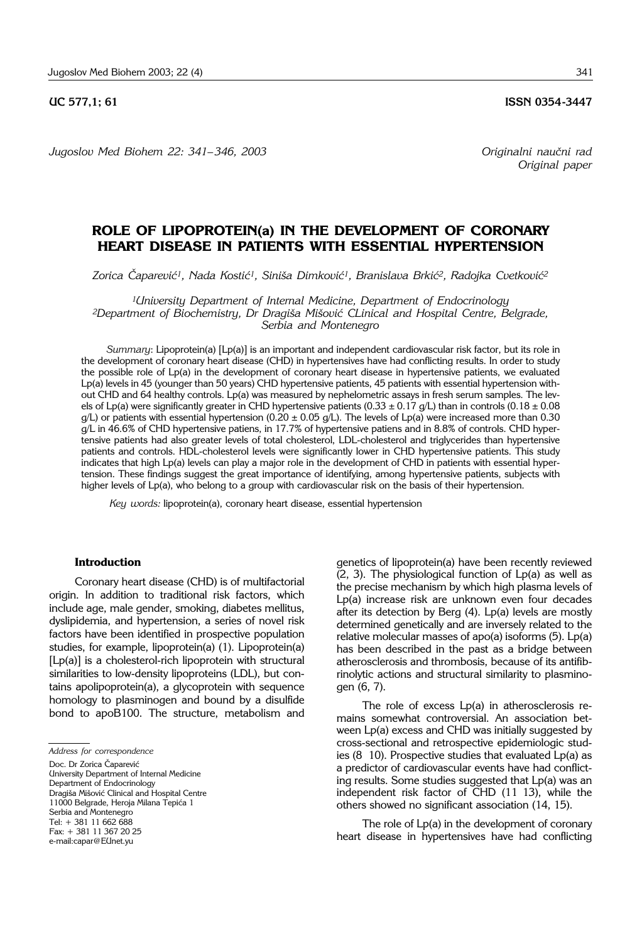*Jugoslov Med Biohem 22: 341*– *346, 2003 Originalni nau~ni rad*

*Original paper*

# **ROLE OF LIPOPROTEIN(a) IN THE DEVELOPMENT OF CORONARY HEART DISEASE IN PATIENTS WITH ESSENTIAL HYPERTENSION**

Zorica Čaparević<sup>1</sup>, Nada Kostić<sup>1</sup>, Siniša Dimković<sup>1</sup>, Branislava Brkić<sup>2</sup>, Radojka Cvetković<sup>2</sup>

*1University Department of Internal Medicine, Department of Endocrinology* <sup>2</sup>Department of Biochemistry, Dr Dragiša Mišović CLinical and Hospital Centre, Belgrade, *Serbia and Montenegro*

*Summary*: Lipoprotein(a) [Lp(a)] is an important and independent cardiovascular risk factor, but its role in the development of coronary heart disease (CHD) in hypertensives have had conflicting results. In order to study the possible role of Lp(a) in the development of coronary heart disease in hypertensive patients, we evaluated Lp(a) levels in 45 (younger than 50 years) CHD hypertensive patients, 45 patients with essential hypertension without CHD and 64 healthy controls. Lp(a) was measured by nephelometric assays in fresh serum samples. The levels of Lp(a) were significantly greater in CHD hypertensive patients (0.33  $\pm$  0.17 g/L) than in controls (0.18  $\pm$  0.08 g/L) or patients with essential hypertension (0.20  $\pm$  0.05 g/L). The levels of Lp(a) were increased more than 0.30 g/L in 46.6% of CHD hypertensive patiens, in 17.7% of hypertensive patiens and in 8.8% of controls. CHD hypertensive patients had also greater levels of total cholesterol, LDL-cholesterol and triglycerides than hypertensive patients and controls. HDL-cholesterol levels were significantly lower in CHD hypertensive patients. This study indicates that high Lp(a) levels can play a major role in the development of CHD in patients with essential hypertension. These findings suggest the great importance of identifying, among hypertensive patients, subjects with higher levels of Lp(a), who belong to a group with cardiovascular risk on the basis of their hypertension.

*Key words:* lipoprotein(a), coronary heart disease, essential hypertension

#### **Introduction**

Coronary heart disease (CHD) is of multifactorial origin. In addition to traditional risk factors, which include age, male gender, smoking, diabetes mellitus, dyslipidemia, and hypertension, a series of novel risk factors have been identified in prospective population studies, for example, lipoprotein(a) (1). Lipoprotein(a) [Lp(a)] is a cholesterol-rich lipoprotein with structural similarities to low-density lipoproteins (LDL), but contains apolipoprotein(a), a glycoprotein with sequence homology to plasminogen and bound by a disulfide bond to apoB100. The structure, metabolism and

*Address for correspondence*

Doc. Dr Zorica Čaparević

University Department of Internal Medicine Department of Endocrinology Dragiša Mišović Clinical and Hospital Centre 11000 Belgrade, Heroja Milana Tepića 1 Serbia and Montenegro Tel: + 381 11 662 688

Fax: + 381 11 367 20 25

e-mail:capar@EUnet.yu

genetics of lipoprotein(a) have been recently reviewed (2, 3). The physiological function of Lp(a) as well as the precise mechanism by which high plasma levels of Lp(a) increase risk are unknown even four decades after its detection by Berg (4). Lp(a) levels are mostly determined genetically and are inversely related to the relative molecular masses of apo(a) isoforms (5). Lp(a) has been described in the past as a bridge between atherosclerosis and thrombosis, because of its antifibrinolytic actions and structural similarity to plasminogen (6, 7).

The role of excess Lp(a) in atherosclerosis remains somewhat controversial. An association between Lp(a) excess and CHD was initially suggested by cross-sectional and retrospective epidemiologic studies (8  $10$ ). Prospective studies that evaluated Lp(a) as a predictor of cardiovascular events have had conflicting results. Some studies suggested that Lp(a) was an independent risk factor of CHD (11-13), while the others showed no significant association (14, 15).

The role of Lp(a) in the development of coronary heart disease in hypertensives have had conflicting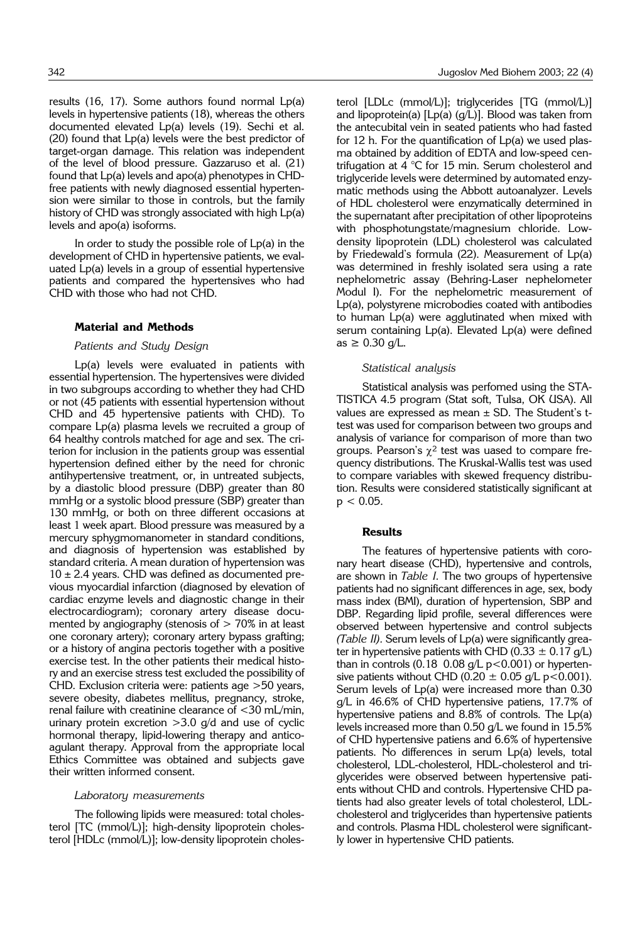results (16, 17). Some authors found normal Lp(a) levels in hypertensive patients (18), whereas the others documented elevated Lp(a) levels (19). Sechi et al. (20) found that Lp(a) levels were the best predictor of target-organ damage. This relation was independent of the level of blood pressure. Gazzaruso et al. (21) found that Lp(a) levels and apo(a) phenotypes in CHDfree patients with newly diagnosed essential hypertension were similar to those in controls, but the family history of CHD was strongly associated with high Lp(a) levels and apo(a) isoforms.

In order to study the possible role of  $Lp(a)$  in the development of CHD in hypertensive patients, we evaluated Lp(a) levels in a group of essential hypertensive patients and compared the hypertensives who had CHD with those who had not CHD.

# **Material and Methods**

# *Patients and Study Design*

Lp(a) levels were evaluated in patients with essential hypertension. The hypertensives were divided in two subgroups according to whether they had CHD or not (45 patients with essential hypertension without CHD and 45 hypertensive patients with CHD). To compare Lp(a) plasma levels we recruited a group of 64 healthy controls matched for age and sex. The criterion for inclusion in the patients group was essential hypertension defined either by the need for chronic antihypertensive treatment, or, in untreated subjects, by a diastolic blood pressure (DBP) greater than 80 mmHg or a systolic blood pressure (SBP) greater than 130 mmHg, or both on three different occasions at least 1 week apart. Blood pressure was measured by a mercury sphygmomanometer in standard conditions, and diagnosis of hypertension was established by standard criteria. A mean duration of hypertension was  $10 \pm 2.4$  years. CHD was defined as documented previous myocardial infarction (diagnosed by elevation of cardiac enzyme levels and diagnostic change in their electrocardiogram); coronary artery disease documented by angiography (stenosis of  $> 70\%$  in at least one coronary artery); coronary artery bypass grafting; or a history of angina pectoris together with a positive exercise test. In the other patients their medical history and an exercise stress test excluded the possibility of CHD. Exclusion criteria were: patients age >50 years, severe obesity, diabetes mellitus, pregnancy, stroke, renal failure with creatinine clearance of <30 mL/min, urinary protein excretion  $>3.0$  g/d and use of cyclic hormonal therapy, lipid-lowering therapy and anticoagulant therapy. Approval from the appropriate local Ethics Committee was obtained and subjects gave their written informed consent.

### *Laboratory measurements*

The following lipids were measured: total cholesterol [TC (mmol/L)]; high-density lipoprotein cholesterol [HDLc (mmol/L)]; low-density lipoprotein cholesterol [LDLc (mmol/L)]; triglycerides [TG (mmol/L)] and lipoprotein(a)  $[Lp(a) (g/L)]$ . Blood was taken from the antecubital vein in seated patients who had fasted for 12 h. For the quantification of Lp(a) we used plasma obtained by addition of EDTA and low-speed centrifugation at 4 °C for 15 min. Serum cholesterol and triglyceride levels were determined by automated enzymatic methods using the Abbott autoanalyzer. Levels of HDL cholesterol were enzymatically determined in the supernatant after precipitation of other lipoproteins with phosphotungstate/magnesium chloride. Lowdensity lipoprotein (LDL) cholesterol was calculated by Friedewald's formula (22). Measurement of Lp(a) was determined in freshly isolated sera using a rate nephelometric assay (Behring-Laser nephelometer Modul I). For the nephelometric measurement of Lp(a), polystyrene microbodies coated with antibodies to human Lp(a) were agglutinated when mixed with serum containing Lp(a). Elevated Lp(a) were defined as  $\geq 0.30$  g/L.

## *Statistical analysis*

Statistical analysis was perfomed using the STA-TISTICA 4.5 program (Stat soft, Tulsa, OK USA). All values are expressed as mean  $\pm$  SD. The Student's ttest was used for comparison between two groups and analysis of variance for comparison of more than two groups. Pearson's  $\chi^2$  test was uased to compare frequency distributions. The Kruskal-Wallis test was used to compare variables with skewed frequency distribution. Results were considered statistically significant at  $p < 0.05$ .

### **Results**

The features of hypertensive patients with coronary heart disease (CHD), hypertensive and controls, are shown in *Table I.* The two groups of hypertensive patients had no significant differences in age, sex, body mass index (BMI), duration of hypertension, SBP and DBP. Regarding lipid profile, several differences were observed between hypertensive and control subjects *(Table II).* Serum levels of Lp(a) were significantly greater in hypertensive patients with CHD (0.33  $\pm$  0.17 g/L) than in controls (0.18  $0.08$  g/L p < 0.001) or hypertensive patients without CHD (0.20  $\pm$  0.05 g/L p<0.001). Serum levels of Lp(a) were increased more than 0.30 g/L in 46.6% of CHD hypertensive patiens, 17.7% of hypertensive patiens and 8.8% of controls. The Lp(a) levels increased more than 0.50 g/L we found in 15.5% of CHD hypertensive patiens and 6.6% of hypertensive patients. No differences in serum Lp(a) levels, total cholesterol, LDL-cholesterol, HDL-cholesterol and triglycerides were observed between hypertensive patients without CHD and controls. Hypertensive CHD patients had also greater levels of total cholesterol, LDLcholesterol and triglycerides than hypertensive patients and controls. Plasma HDL cholesterol were significantly lower in hypertensive CHD patients.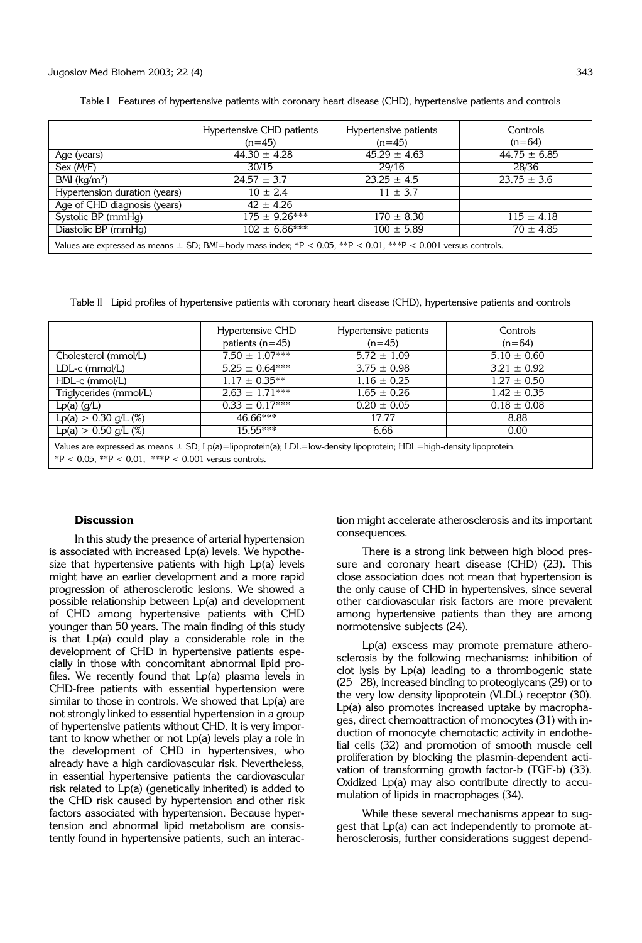|                                                                                                                   | Hypertensive CHD patients<br>$(n=45)$ | Hypertensive patients<br>$(n=45)$ | Controls<br>$(n=64)$ |  |
|-------------------------------------------------------------------------------------------------------------------|---------------------------------------|-----------------------------------|----------------------|--|
| Age (years)                                                                                                       | $44.30 \pm 4.28$                      | $45.29 \pm 4.63$                  | $44.75 \pm 6.85$     |  |
| Sex (M/F)                                                                                                         | 30/15                                 | 29/16                             | 28/36                |  |
| BMI $(kq/m2)$                                                                                                     | $24.57 \pm 3.7$                       | $23.25 \pm 4.5$                   | $23.75 \pm 3.6$      |  |
| Hypertension duration (years)                                                                                     | $10 \pm 2.4$                          | $11 \pm 3.7$                      |                      |  |
| Age of CHD diagnosis (years)                                                                                      | $42 \pm 4.26$                         |                                   |                      |  |
| Systolic BP (mmHg)                                                                                                | $175 \pm 9.26***$                     | $170 \pm 8.30$                    | $115 \pm 4.18$       |  |
| Diastolic BP (mmHg)                                                                                               | $102 \pm 6.86***$                     | $100 \pm 5.89$                    | $70 \pm 4.85$        |  |
| Values are expressed as means $\pm$ SD; BMI=body mass index; *P < 0.05, **P < 0.01, ***P < 0.001 versus controls. |                                       |                                   |                      |  |

Table I Features of hypertensive patients with coronary heart disease (CHD), hypertensive patients and controls

Table II Lipid profiles of hypertensive patients with coronary heart disease (CHD), hypertensive patients and controls

|                                                                                                                                                                                         | Hypertensive CHD<br>patients $(n=45)$ | Hypertensive patients<br>$(n=45)$ | Controls<br>$(n=64)$ |  |
|-----------------------------------------------------------------------------------------------------------------------------------------------------------------------------------------|---------------------------------------|-----------------------------------|----------------------|--|
| Cholesterol (mmol/L)                                                                                                                                                                    | $7.50 \pm 1.07***$                    | $5.72 \pm 1.09$                   | $5.10 \pm 0.60$      |  |
| $LDL-c$ (mmol/L)                                                                                                                                                                        | $5.25 \pm 0.64***$                    | $3.75 \pm 0.98$                   | $3.21 \pm 0.92$      |  |
| HDL-c (mmol/L)                                                                                                                                                                          | $1.17 \pm 0.35**$                     | $1.16 \pm 0.25$                   | $1.27 \pm 0.50$      |  |
| Triglycerides (mmol/L)                                                                                                                                                                  | $2.63 \pm 1.71***$                    | $1.65 \pm 0.26$                   | $1.42 \pm 0.35$      |  |
| $Lp(a)$ (g/L)                                                                                                                                                                           | $0.33 \pm 0.17***$                    | $0.20 \pm 0.05$                   | $0.18 \pm 0.08$      |  |
| $Lp(a) > 0.30$ g/L (%)                                                                                                                                                                  | $46.66***$                            | 17.77                             | 8.88                 |  |
| $Lp(a) > 0.50$ g/L (%)                                                                                                                                                                  | $15.55***$                            | 6.66                              | 0.00                 |  |
| Values are expressed as means $\pm$ SD; Lp(a)=lipoprotein(a); LDL=low-density lipoprotein; HDL=high-density lipoprotein.<br>$P < 0.05$ , **P $< 0.01$ , ***P $< 0.001$ versus controls. |                                       |                                   |                      |  |

### **Discussion**

In this study the presence of arterial hypertension is associated with increased Lp(a) levels. We hypothesize that hypertensive patients with high Lp(a) levels might have an earlier development and a more rapid progression of atherosclerotic lesions. We showed a possible relationship between Lp(a) and development of CHD among hypertensive patients with CHD younger than 50 years. The main finding of this study is that Lp(a) could play a considerable role in the development of CHD in hypertensive patients especially in those with concomitant abnormal lipid profiles. We recently found that Lp(a) plasma levels in CHD-free patients with essential hypertension were similar to those in controls. We showed that Lp(a) are not strongly linked to essential hypertension in a group of hypertensive patients without CHD. It is very important to know whether or not Lp(a) levels play a role in the development of CHD in hypertensives, who already have a high cardiovascular risk. Nevertheless, in essential hypertensive patients the cardiovascular risk related to Lp(a) (genetically inherited) is added to the CHD risk caused by hypertension and other risk factors associated with hypertension. Because hypertension and abnormal lipid metabolism are consistently found in hypertensive patients, such an interaction might accelerate atherosclerosis and its important consequences.

There is a strong link between high blood pressure and coronary heart disease (CHD) (23). This close association does not mean that hypertension is the only cause of CHD in hypertensives, since several other cardiovascular risk factors are more prevalent among hypertensive patients than they are among normotensive subjects (24).

Lp(a) exscess may promote premature atherosclerosis by the following mechanisms: inhibition of clot lysis by Lp(a) leading to a thrombogenic state (25 28), increased binding to proteoglycans (29) or to the very low density lipoprotein (VLDL) receptor (30). Lp(a) also promotes increased uptake by macrophages, direct chemoattraction of monocytes (31) with induction of monocyte chemotactic activity in endothelial cells (32) and promotion of smooth muscle cell proliferation by blocking the plasmin-dependent activation of transforming growth factor-b (TGF-b) (33). Oxidized Lp(a) may also contribute directly to accumulation of lipids in macrophages (34).

While these several mechanisms appear to suggest that Lp(a) can act independently to promote atherosclerosis, further considerations suggest depend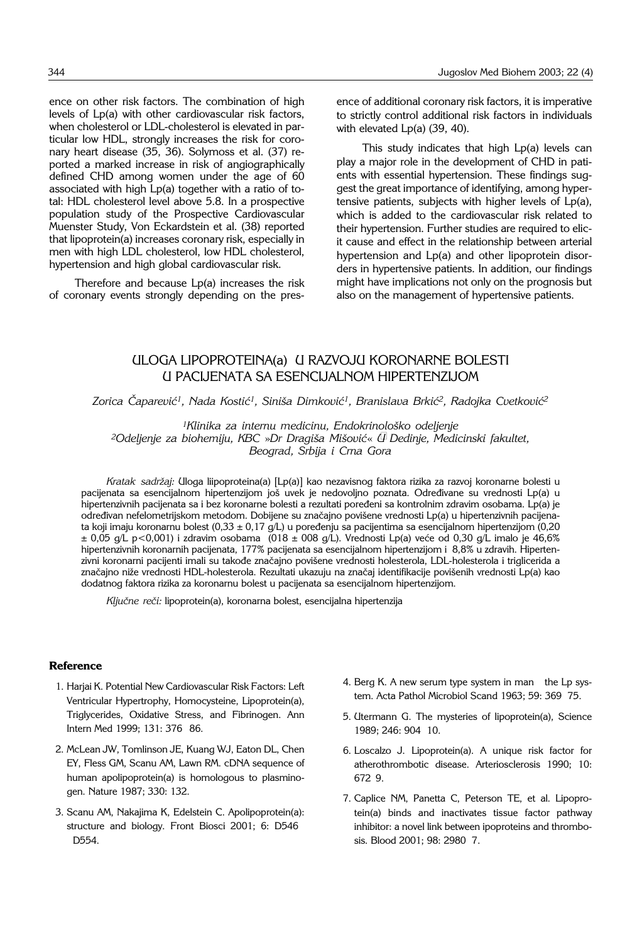ence on other risk factors. The combination of high levels of Lp(a) with other cardiovascular risk factors, when cholesterol or LDL-cholesterol is elevated in particular low HDL, strongly increases the risk for coronary heart disease (35, 36). Solymoss et al. (37) reported a marked increase in risk of angiographically defined CHD among women under the age of 60 associated with high Lp(a) together with a ratio of total: HDL cholesterol level above 5.8. In a prospective population study of the Prospective Cardiovascular Muenster Study, Von Eckardstein et al. (38) reported that lipoprotein(a) increases coronary risk, especially in men with high LDL cholesterol, low HDL cholesterol, hypertension and high global cardiovascular risk.

Therefore and because Lp(a) increases the risk of coronary events strongly depending on the presence of additional coronary risk factors, it is imperative to strictly control additional risk factors in individuals with elevated Lp(a) (39, 40).

This study indicates that high Lp(a) levels can play a major role in the development of CHD in patients with essential hypertension. These findings suggest the great importance of identifying, among hypertensive patients, subjects with higher levels of Lp(a), which is added to the cardiovascular risk related to their hypertension. Further studies are required to elicit cause and effect in the relationship between arterial hypertension and Lp(a) and other lipoprotein disorders in hypertensive patients. In addition, our findings might have implications not only on the prognosis but also on the management of hypertensive patients.

# ULOGA LIPOPROTEINA(a) U RAZVOJU KORONARNE BOLESTI U PACIJENATA SA ESENCIJALNOM HIPERTENZIJOM

Zorica Čaparević<sup>1</sup>, Nada Kostić<sup>1</sup>, Siniša Dimković<sup>1</sup>, Branislava Brkić<sup>2</sup>, Radojka Cvetković<sup>2</sup>

*1Klinika za internu medicinu, Endokrinolo{ko odeljenje 2Odeljenje za biohemiju, KBC* »*Dr Dragi{a Mi{ovi}*« *– Dedinje, Medicinski fakultet, Beograd, Srbija i Crna Gora*

*Kratak sadr`aj:* Uloga liipoproteina(a) [Lp(a)] kao nezavisnog faktora rizika za razvoj koronarne bolesti u pacijenata sa esencijalnom hipertenzijom još uvek je nedovoljno poznata. Određivane su vrednosti Lp(a) u hipertenzivnih pacijenata sa i bez koronarne bolesti a rezultati poređeni sa kontrolnim zdravim osobama. Lp(a) je određivan nefelometrijskom metodom. Dobijene su značajno povišene vrednosti Lp(a) u hipertenzivnih pacijenata koji imaju koronarnu bolest (0,33 ± 0,17 g/L) u poređenju sa pacijentima sa esencijalnom hipertenzijom (0,20  $\pm$  0,05 g/L p<0,001) i zdravim osobama (018  $\pm$  008 g/L). Vrednosti Lp(a) veće od 0,30 g/L imalo je 46,6% hipertenzivnih koronarnih pacijenata, 177% pacijenata sa esencijalnom hipertenzijom i 8,8% u zdravih. Hipertenzivni koronarni pacijenti imali su takođe značajno povišene vrednosti holesterola, LDL-holesterola i triglicerida a značajno niže vrednosti HDL-holesterola. Rezultati ukazuju na značaj identifikacije povišenih vrednosti Lp(a) kao dodatnog faktora rizika za koronarnu bolest u pacijenata sa esencijalnom hipertenzijom.

Ključne reči: lipoprotein(a), koronarna bolest, esencijalna hipertenzija

# **Reference**

- 1. Harjai K. Potential New Cardiovascular Risk Factors: Left Ventricular Hypertrophy, Homocysteine, Lipoprotein(a), Triglycerides, Oxidative Stress, and Fibrinogen. Ann Intern Med 1999; 131: 376 86.
- 2. McLean JW, Tomlinson JE, Kuang WJ, Eaton DL, Chen EY, Fless GM, Scanu AM, Lawn RM. cDNA sequence of human apolipoprotein(a) is homologous to plasminogen. Nature 1987; 330: 132.
- 3. Scanu AM, Nakajima K, Edelstein C. Apolipoprotein(a): structure and biology. Front Biosci 2001; 6: D546 D<sub>554</sub>.
- 4. Berg K. A new serum type system in man the Lp system. Acta Pathol Microbiol Scand 1963; 59: 369 75.
- 5. Utermann G. The mysteries of lipoprotein(a), Science 1989; 246: 904 10.
- 6. Loscalzo J. Lipoprotein(a). A unique risk factor for atherothrombotic disease. Arteriosclerosis 1990; 10: 672'9.
- 7. Caplice NM, Panetta C, Peterson TE, et al. Lipoprotein(a) binds and inactivates tissue factor pathway inhibitor: a novel link between ipoproteins and thrombosis. Blood 2001; 98: 2980 7.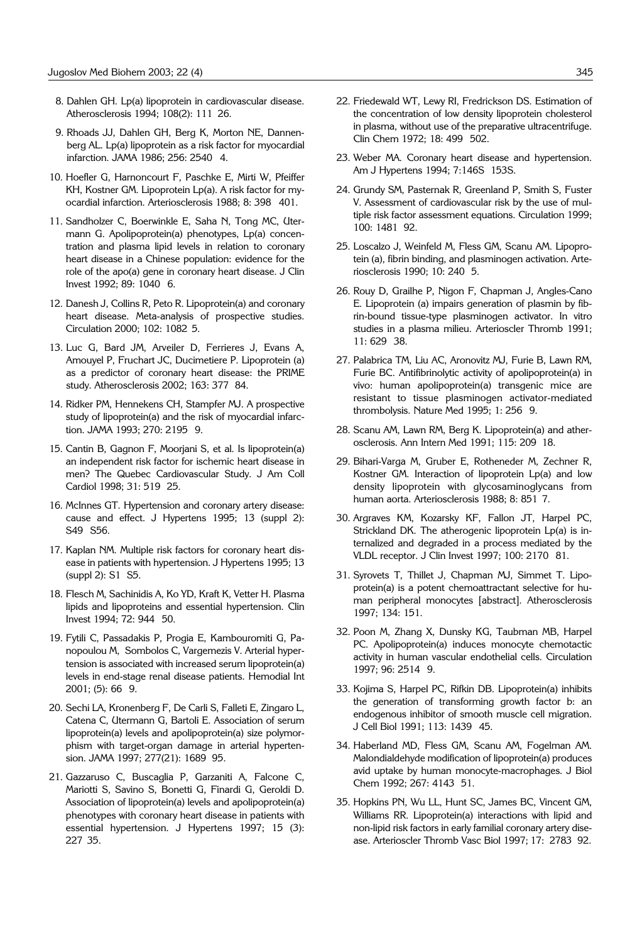- 8. Dahlen GH. Lp(a) lipoprotein in cardiovascular disease. Atherosclerosis 1994; 108(2): 111 26.
- 9. Rhoads JJ, Dahlen GH, Berg K, Morton NE, Dannenberg AL. Lp(a) lipoprotein as a risk factor for myocardial infarction. JAMA 1986; 256: 2540' 4.
- 10. Hoefler G, Harnoncourt F, Paschke E, Mirti W, Pfeiffer KH, Kostner GM. Lipoprotein Lp(a). A risk factor for myocardial infarction. Arteriosclerosis 1988; 8: 398' 401.
- 11. Sandholzer C, Boerwinkle E, Saha N, Tong MC, Utermann G. Apolipoprotein(a) phenotypes, Lp(a) concentration and plasma lipid levels in relation to coronary heart disease in a Chinese population: evidence for the role of the apo(a) gene in coronary heart disease. J Clin Invest 1992; 89: 1040 6.
- 12. Danesh J, Collins R, Peto R. Lipoprotein(a) and coronary heart disease. Meta-analysis of prospective studies. Circulation 2000; 102: 1082 5.
- 13. Luc G, Bard JM, Arveiler D, Ferrieres J, Evans A, Amouyel P, Fruchart JC, Ducimetiere P. Lipoprotein (a) as a predictor of coronary heart disease: the PRIME study. Atherosclerosis 2002; 163: 377 84.
- 14. Ridker PM, Hennekens CH, Stampfer MJ. A prospective study of lipoprotein(a) and the risk of myocardial infarction. JAMA 1993; 270: 2195 9.
- 15. Cantin B, Gagnon F, Moorjani S, et al. Is lipoprotein(a) an independent risk factor for ischemic heart disease in men? The Quebec Cardiovascular Study. J Am Coll Cardiol 1998; 31: 519 25.
- 16. McInnes GT. Hypertension and coronary artery disease: cause and effect. J Hypertens 1995; 13 (suppl 2): S49 S56.
- 17. Kaplan NM. Multiple risk factors for coronary heart disease in patients with hypertension. J Hypertens 1995; 13 (suppl 2): S1 S5.
- 18. Flesch M, Sachinidis A, Ko YD, Kraft K, Vetter H. Plasma lipids and lipoproteins and essential hypertension. Clin Invest 1994; 72: 944 50.
- 19. Fytili C, Passadakis P, Progia E, Kambouromiti G, Panopoulou M, Sombolos C, Vargemezis V. Arterial hypertension is associated with increased serum lipoprotein(a) levels in end-stage renal disease patients. Hemodial Int 2001; (5): 66 '9.
- 20. Sechi LA, Kronenberg F, De Carli S, Falleti E, Zingaro L, Catena C, Utermann G, Bartoli E. Association of serum lipoprotein(a) levels and apolipoprotein(a) size polymorphism with target-organ damage in arterial hypertension. JAMA 1997; 277(21): 1689 95.
- 21. Gazzaruso C, Buscaglia P, Garzaniti A, Falcone C, Mariotti S, Savino S, Bonetti G, Finardi G, Geroldi D. Association of lipoprotein(a) levels and apolipoprotein(a) phenotypes with coronary heart disease in patients with essential hypertension. J Hypertens 1997; 15 (3): 227'35.
- 22. Friedewald WT, Lewy RI, Fredrickson DS. Estimation of the concentration of low density lipoprotein cholesterol in plasma, without use of the preparative ultracentrifuge. Clin Chem 1972; 18: 499 502.
- 23. Weber MA. Coronary heart disease and hypertension. Am J Hypertens 1994; 7:146S 153S.
- 24. Grundy SM, Pasternak R, Greenland P, Smith S, Fuster V. Assessment of cardiovascular risk by the use of multiple risk factor assessment equations. Circulation 1999; 100: 1481' 92.
- 25. Loscalzo J, Weinfeld M, Fless GM, Scanu AM. Lipoprotein (a), fibrin binding, and plasminogen activation. Arteriosclerosis 1990; 10: 240 5.
- 26. Rouy D, Grailhe P, Nigon F, Chapman J, Angles-Cano E. Lipoprotein (a) impairs generation of plasmin by fibrin-bound tissue-type plasminogen activator. In vitro studies in a plasma milieu. Arterioscler Thromb 1991; 11: 629 38.
- 27. Palabrica TM, Liu AC, Aronovitz MJ, Furie B, Lawn RM, Furie BC. Antifibrinolytic activity of apolipoprotein(a) in vivo: human apolipoprotein(a) transgenic mice are resistant to tissue plasminogen activator-mediated thrombolysis. Nature Med 1995; 1: 256 9.
- 28. Scanu AM, Lawn RM, Berg K. Lipoprotein(a) and atherosclerosis. Ann Intern Med 1991; 115: 209 18.
- 29. Bihari-Varga M, Gruber E, Rotheneder M, Zechner R, Kostner GM. Interaction of lipoprotein Lp(a) and low density lipoprotein with glycosaminoglycans from human aorta. Arteriosclerosis 1988; 8: 851 7.
- 30. Argraves KM, Kozarsky KF, Fallon JT, Harpel PC, Strickland DK. The atherogenic lipoprotein Lp(a) is internalized and degraded in a process mediated by the VLDL receptor. J Clin Invest 1997; 100: 2170 81.
- 31. Syrovets T, Thillet J, Chapman MJ, Simmet T. Lipoprotein(a) is a potent chemoattractant selective for human peripheral monocytes [abstract]. Atherosclerosis 1997; 134: 151.
- 32. Poon M, Zhang X, Dunsky KG, Taubman MB, Harpel PC. Apolipoprotein(a) induces monocyte chemotactic activity in human vascular endothelial cells. Circulation 1997; 96: 2514 '9.
- 33. Kojima S, Harpel PC, Rifkin DB. Lipoprotein(a) inhibits the generation of transforming growth factor b: an endogenous inhibitor of smooth muscle cell migration. J Cell Biol 1991; 113: 1439 45.
- 34. Haberland MD, Fless GM, Scanu AM, Fogelman AM. Malondialdehyde modification of lipoprotein(a) produces avid uptake by human monocyte-macrophages. J Biol Chem 1992; 267: 4143 51.
- 35. Hopkins PN, Wu LL, Hunt SC, James BC, Vincent GM, Williams RR. Lipoprotein(a) interactions with lipid and non-lipid risk factors in early familial coronary artery disease. Arterioscler Thromb Vasc Biol 1997; 17: 2783 92.